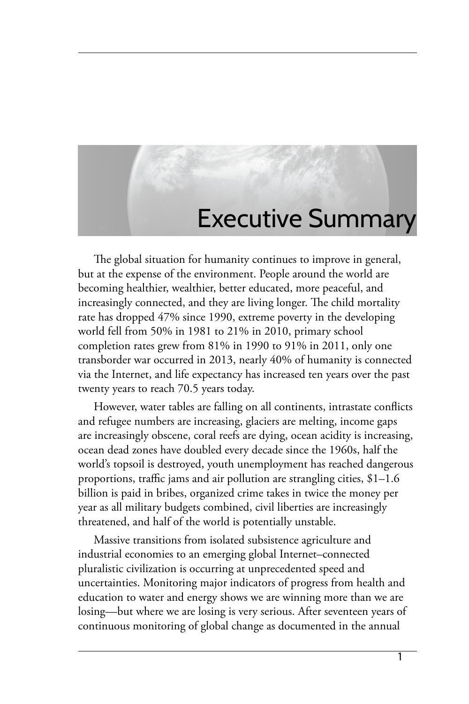# Executive Summary

The global situation for humanity continues to improve in general, but at the expense of the environment. People around the world are becoming healthier, wealthier, better educated, more peaceful, and increasingly connected, and they are living longer. The child mortality rate has dropped 47% since 1990, extreme poverty in the developing world fell from 50% in 1981 to 21% in 2010, primary school completion rates grew from 81% in 1990 to 91% in 2011, only one transborder war occurred in 2013, nearly 40% of humanity is connected via the Internet, and life expectancy has increased ten years over the past twenty years to reach 70.5 years today.

However, water tables are falling on all continents, intrastate conflicts and refugee numbers are increasing, glaciers are melting, income gaps are increasingly obscene, coral reefs are dying, ocean acidity is increasing, ocean dead zones have doubled every decade since the 1960s, half the world's topsoil is destroyed, youth unemployment has reached dangerous proportions, traffic jams and air pollution are strangling cities, \$1–1.6 billion is paid in bribes, organized crime takes in twice the money per year as all military budgets combined, civil liberties are increasingly threatened, and half of the world is potentially unstable.

Massive transitions from isolated subsistence agriculture and industrial economies to an emerging global Internet–connected pluralistic civilization is occurring at unprecedented speed and uncertainties. Monitoring major indicators of progress from health and education to water and energy shows we are winning more than we are losing—but where we are losing is very serious. After seventeen years of continuous monitoring of global change as documented in the annual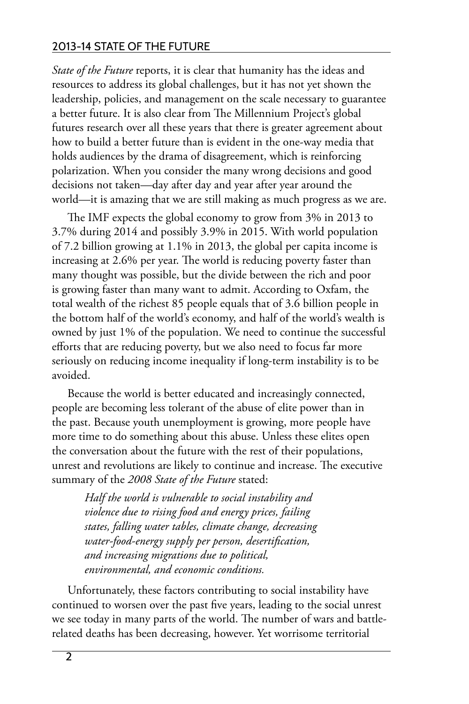*State of the Future* reports, it is clear that humanity has the ideas and resources to address its global challenges, but it has not yet shown the leadership, policies, and management on the scale necessary to guarantee a better future. It is also clear from The Millennium Project's global futures research over all these years that there is greater agreement about how to build a better future than is evident in the one-way media that holds audiences by the drama of disagreement, which is reinforcing polarization. When you consider the many wrong decisions and good decisions not taken—day after day and year after year around the world—it is amazing that we are still making as much progress as we are.

The IMF expects the global economy to grow from 3% in 2013 to 3.7% during 2014 and possibly 3.9% in 2015. With world population of 7.2 billion growing at 1.1% in 2013, the global per capita income is increasing at 2.6% per year. The world is reducing poverty faster than many thought was possible, but the divide between the rich and poor is growing faster than many want to admit. According to Oxfam, the total wealth of the richest 85 people equals that of 3.6 billion people in the bottom half of the world's economy, and half of the world's wealth is owned by just 1% of the population. We need to continue the successful efforts that are reducing poverty, but we also need to focus far more seriously on reducing income inequality if long-term instability is to be avoided.

Because the world is better educated and increasingly connected, people are becoming less tolerant of the abuse of elite power than in the past. Because youth unemployment is growing, more people have more time to do something about this abuse. Unless these elites open the conversation about the future with the rest of their populations, unrest and revolutions are likely to continue and increase. The executive summary of the *2008 State of the Future* stated:

*Half the world is vulnerable to social instability and violence due to rising food and energy prices, failing states, falling water tables, climate change, decreasing water-food-energy supply per person, desertification, and increasing migrations due to political, environmental, and economic conditions.*

Unfortunately, these factors contributing to social instability have continued to worsen over the past five years, leading to the social unrest we see today in many parts of the world. The number of wars and battlerelated deaths has been decreasing, however. Yet worrisome territorial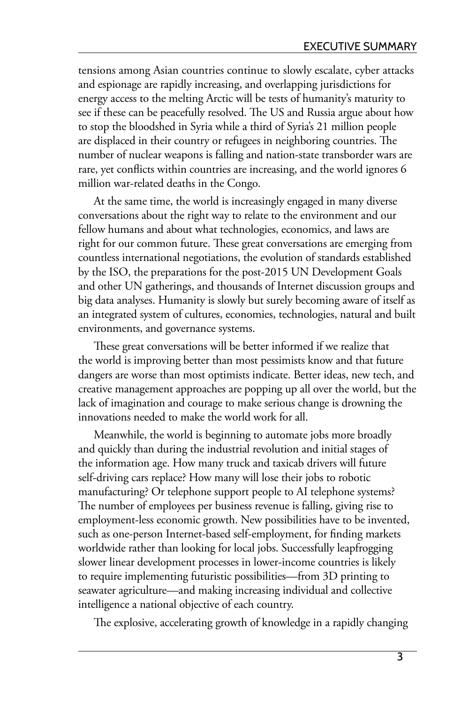tensions among Asian countries continue to slowly escalate, cyber attacks and espionage are rapidly increasing, and overlapping jurisdictions for energy access to the melting Arctic will be tests of humanity's maturity to see if these can be peacefully resolved. The US and Russia argue about how to stop the bloodshed in Syria while a third of Syria's 21 million people are displaced in their country or refugees in neighboring countries. The number of nuclear weapons is falling and nation-state transborder wars are rare, yet conflicts within countries are increasing, and the world ignores 6 million war-related deaths in the Congo.

At the same time, the world is increasingly engaged in many diverse conversations about the right way to relate to the environment and our fellow humans and about what technologies, economics, and laws are right for our common future. These great conversations are emerging from countless international negotiations, the evolution of standards established by the ISO, the preparations for the post-2015 UN Development Goals and other UN gatherings, and thousands of Internet discussion groups and big data analyses. Humanity is slowly but surely becoming aware of itself as an integrated system of cultures, economies, technologies, natural and built environments, and governance systems.

These great conversations will be better informed if we realize that the world is improving better than most pessimists know and that future dangers are worse than most optimists indicate. Better ideas, new tech, and creative management approaches are popping up all over the world, but the lack of imagination and courage to make serious change is drowning the innovations needed to make the world work for all.

Meanwhile, the world is beginning to automate jobs more broadly and quickly than during the industrial revolution and initial stages of the information age. How many truck and taxicab drivers will future self-driving cars replace? How many will lose their jobs to robotic manufacturing? Or telephone support people to AI telephone systems? The number of employees per business revenue is falling, giving rise to employment-less economic growth. New possibilities have to be invented, such as one-person Internet-based self-employment, for finding markets worldwide rather than looking for local jobs. Successfully leapfrogging slower linear development processes in lower-income countries is likely to require implementing futuristic possibilities—from 3D printing to seawater agriculture—and making increasing individual and collective intelligence a national objective of each country.

The explosive, accelerating growth of knowledge in a rapidly changing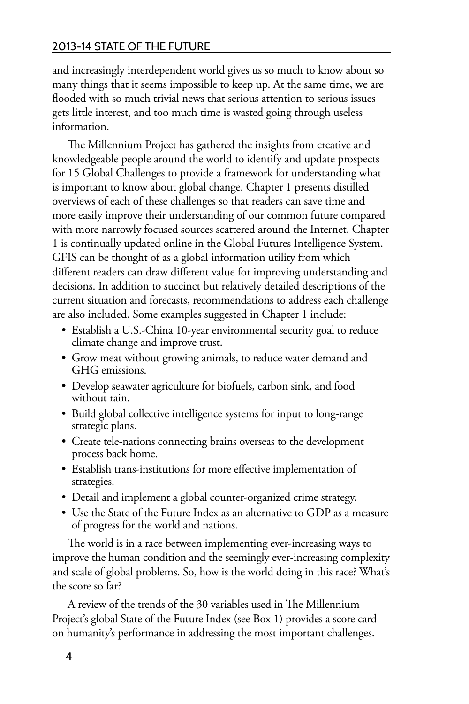and increasingly interdependent world gives us so much to know about so many things that it seems impossible to keep up. At the same time, we are flooded with so much trivial news that serious attention to serious issues gets little interest, and too much time is wasted going through useless information.

The Millennium Project has gathered the insights from creative and knowledgeable people around the world to identify and update prospects for 15 Global Challenges to provide a framework for understanding what is important to know about global change. Chapter 1 presents distilled overviews of each of these challenges so that readers can save time and more easily improve their understanding of our common future compared with more narrowly focused sources scattered around the Internet. Chapter 1 is continually updated online in the Global Futures Intelligence System. GFIS can be thought of as a global information utility from which different readers can draw different value for improving understanding and decisions. In addition to succinct but relatively detailed descriptions of the current situation and forecasts, recommendations to address each challenge are also included. Some examples suggested in Chapter 1 include:

- Establish a U.S.-China 10-year environmental security goal to reduce climate change and improve trust.
- Grow meat without growing animals, to reduce water demand and GHG emissions.
- • Develop seawater agriculture for biofuels, carbon sink, and food without rain.
- Build global collective intelligence systems for input to long-range strategic plans.
- Create tele-nations connecting brains overseas to the development process back home.
- Establish trans-institutions for more effective implementation of strategies.
- Detail and implement a global counter-organized crime strategy.
- Use the State of the Future Index as an alternative to GDP as a measure of progress for the world and nations.

The world is in a race between implementing ever-increasing ways to improve the human condition and the seemingly ever-increasing complexity and scale of global problems. So, how is the world doing in this race? What's the score so far?

A review of the trends of the 30 variables used in The Millennium Project's global State of the Future Index (see Box 1) provides a score card on humanity's performance in addressing the most important challenges.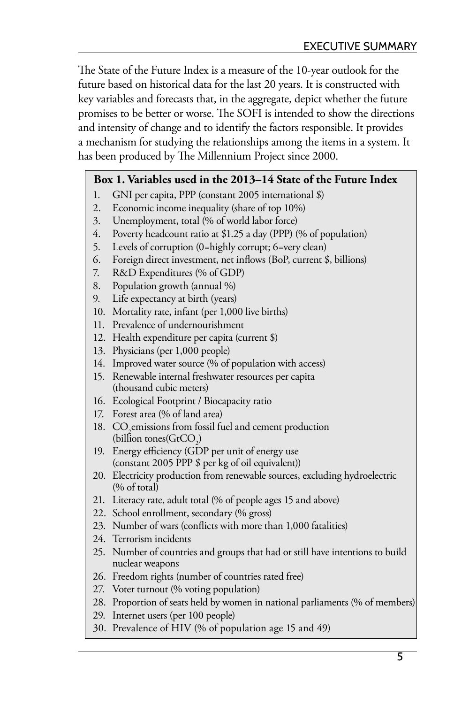The State of the Future Index is a measure of the 10-year outlook for the future based on historical data for the last 20 years. It is constructed with key variables and forecasts that, in the aggregate, depict whether the future promises to be better or worse. The SOFI is intended to show the directions and intensity of change and to identify the factors responsible. It provides a mechanism for studying the relationships among the items in a system. It has been produced by The Millennium Project since 2000.

### **Box 1. Variables used in the 2013–14 State of the Future Index**

- 1. GNI per capita, PPP (constant 2005 international \$)
- 2. Economic income inequality (share of top 10%)
- 3. Unemployment, total (% of world labor force)
- 4. Poverty headcount ratio at \$1.25 a day (PPP) (% of population)
- 5. Levels of corruption (0=highly corrupt; 6=very clean)
- 6. Foreign direct investment, net inflows (BoP, current \$, billions)
- 7. R&D Expenditures (% of GDP)
- 8. Population growth (annual %)
- 9. Life expectancy at birth (years)
- 10. Mortality rate, infant (per 1,000 live births)
- 11. Prevalence of undernourishment
- 12. Health expenditure per capita (current \$)
- 13. Physicians (per 1,000 people)
- 14. Improved water source (% of population with access)
- 15. Renewable internal freshwater resources per capita (thousand cubic meters)
- 16. Ecological Footprint / Biocapacity ratio
- 17. Forest area (% of land area)
- 18.  $CO<sub>2</sub>$  emissions from fossil fuel and cement production (billion tones  $(\text{GtCO}_2)$
- 19. Energy efficiency (GDP per unit of energy use (constant 2005 PPP \$ per kg of oil equivalent))
- 20. Electricity production from renewable sources, excluding hydroelectric (% of total)
- 21. Literacy rate, adult total (% of people ages 15 and above)
- 22. School enrollment, secondary (% gross)
- 23. Number of wars (conflicts with more than 1,000 fatalities)
- 24. Terrorism incidents
- 25. Number of countries and groups that had or still have intentions to build nuclear weapons
- 26. Freedom rights (number of countries rated free)
- 27. Voter turnout (% voting population)
- 28. Proportion of seats held by women in national parliaments (% of members)
- 29. Internet users (per 100 people)
- 30. Prevalence of HIV (% of population age 15 and 49)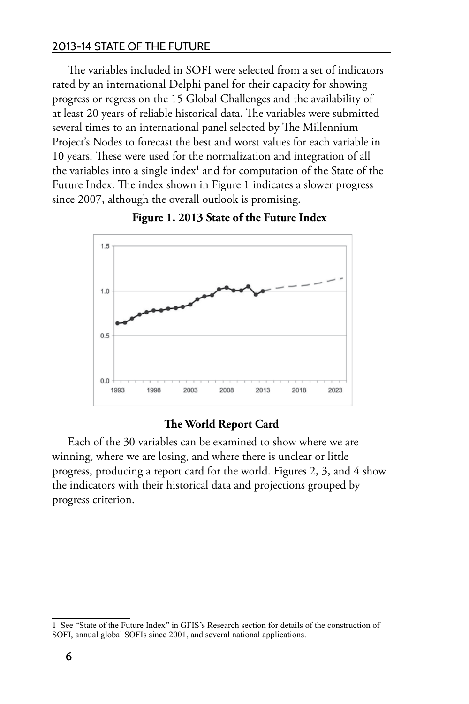The variables included in SOFI were selected from a set of indicators rated by an international Delphi panel for their capacity for showing progress or regress on the 15 Global Challenges and the availability of at least 20 years of reliable historical data. The variables were submitted several times to an international panel selected by The Millennium Project's Nodes to forecast the best and worst values for each variable in 10 years. These were used for the normalization and integration of all the variables into a single index<sup>1</sup> and for computation of the State of the Future Index. The index shown in Figure 1 indicates a slower progress since 2007, although the overall outlook is promising.





### **The World Report Card**

Each of the 30 variables can be examined to show where we are winning, where we are losing, and where there is unclear or little progress, producing a report card for the world. Figures 2, 3, and 4 show the indicators with their historical data and projections grouped by progress criterion.

<sup>1</sup> See "State of the Future Index" in GFIS's Research section for details of the construction of SOFI, annual global SOFIs since 2001, and several national applications.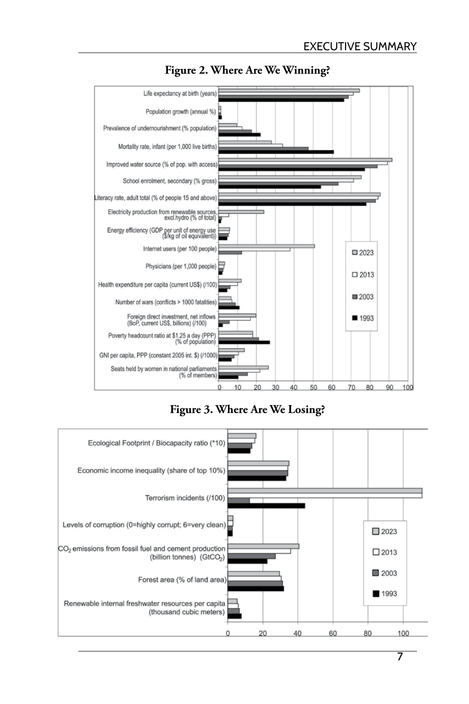

**Figure 2. Where Are We Winning?**

**Figure 3. Where Are We Losing?**

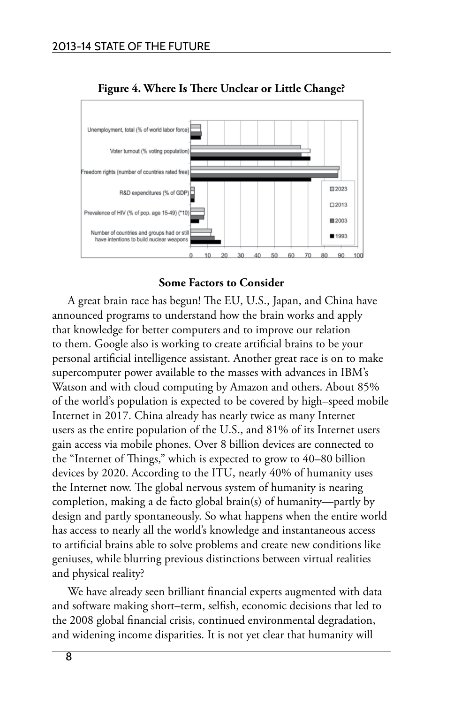

**Figure 4. Where Is There Unclear or Little Change?**

#### **Some Factors to Consider**

A great brain race has begun! The EU, U.S., Japan, and China have announced programs to understand how the brain works and apply that knowledge for better computers and to improve our relation to them. Google also is working to create artificial brains to be your personal artificial intelligence assistant. Another great race is on to make supercomputer power available to the masses with advances in IBM's Watson and with cloud computing by Amazon and others. About 85% of the world's population is expected to be covered by high–speed mobile Internet in 2017. China already has nearly twice as many Internet users as the entire population of the U.S., and 81% of its Internet users gain access via mobile phones. Over 8 billion devices are connected to the "Internet of Things," which is expected to grow to 40–80 billion devices by 2020. According to the ITU, nearly 40% of humanity uses the Internet now. The global nervous system of humanity is nearing completion, making a de facto global brain(s) of humanity—partly by design and partly spontaneously. So what happens when the entire world has access to nearly all the world's knowledge and instantaneous access to artificial brains able to solve problems and create new conditions like geniuses, while blurring previous distinctions between virtual realities and physical reality?

We have already seen brilliant financial experts augmented with data and software making short–term, selfish, economic decisions that led to the 2008 global financial crisis, continued environmental degradation, and widening income disparities. It is not yet clear that humanity will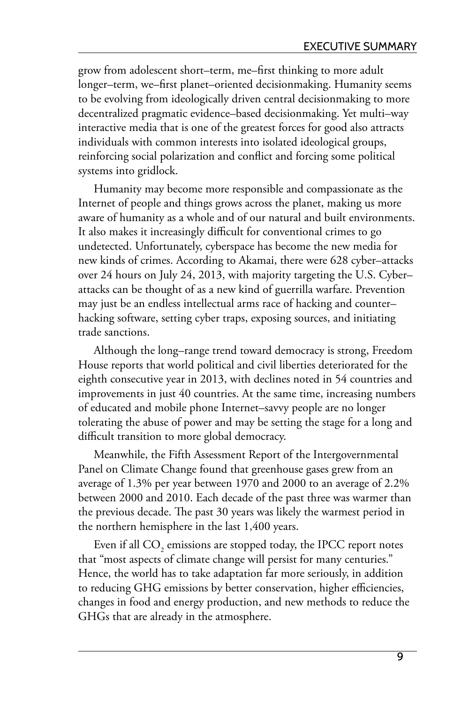grow from adolescent short–term, me–first thinking to more adult longer–term, we–first planet–oriented decisionmaking. Humanity seems to be evolving from ideologically driven central decisionmaking to more decentralized pragmatic evidence–based decisionmaking. Yet multi–way interactive media that is one of the greatest forces for good also attracts individuals with common interests into isolated ideological groups, reinforcing social polarization and conflict and forcing some political systems into gridlock.

Humanity may become more responsible and compassionate as the Internet of people and things grows across the planet, making us more aware of humanity as a whole and of our natural and built environments. It also makes it increasingly difficult for conventional crimes to go undetected. Unfortunately, cyberspace has become the new media for new kinds of crimes. According to Akamai, there were 628 cyber–attacks over 24 hours on July 24, 2013, with majority targeting the U.S. Cyber– attacks can be thought of as a new kind of guerrilla warfare. Prevention may just be an endless intellectual arms race of hacking and counter– hacking software, setting cyber traps, exposing sources, and initiating trade sanctions.

Although the long–range trend toward democracy is strong, Freedom House reports that world political and civil liberties deteriorated for the eighth consecutive year in 2013, with declines noted in 54 countries and improvements in just 40 countries. At the same time, increasing numbers of educated and mobile phone Internet–savvy people are no longer tolerating the abuse of power and may be setting the stage for a long and difficult transition to more global democracy.

Meanwhile, the Fifth Assessment Report of the Intergovernmental Panel on Climate Change found that greenhouse gases grew from an average of 1.3% per year between 1970 and 2000 to an average of 2.2% between 2000 and 2010. Each decade of the past three was warmer than the previous decade. The past 30 years was likely the warmest period in the northern hemisphere in the last 1,400 years.

Even if all  $\mathrm{CO}_\mathrm{2}$  emissions are stopped today, the IPCC report notes that "most aspects of climate change will persist for many centuries." Hence, the world has to take adaptation far more seriously, in addition to reducing GHG emissions by better conservation, higher efficiencies, changes in food and energy production, and new methods to reduce the GHGs that are already in the atmosphere.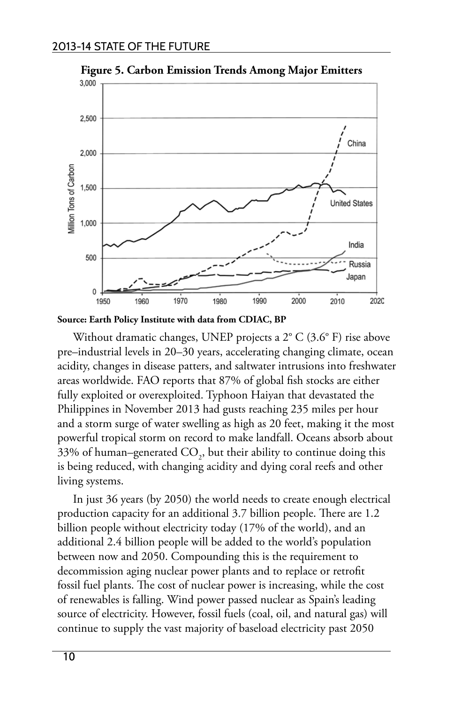

**Figure 5. Carbon Emission Trends Among Major Emitters**



Without dramatic changes, UNEP projects a 2° C (3.6° F) rise above pre–industrial levels in 20–30 years, accelerating changing climate, ocean acidity, changes in disease patters, and saltwater intrusions into freshwater areas worldwide. FAO reports that 87% of global fish stocks are either fully exploited or overexploited. Typhoon Haiyan that devastated the Philippines in November 2013 had gusts reaching 235 miles per hour and a storm surge of water swelling as high as 20 feet, making it the most powerful tropical storm on record to make landfall. Oceans absorb about 33% of human–generated  $\text{CO}_2$ , but their ability to continue doing this is being reduced, with changing acidity and dying coral reefs and other living systems.

In just 36 years (by 2050) the world needs to create enough electrical production capacity for an additional 3.7 billion people. There are 1.2 billion people without electricity today (17% of the world), and an additional 2.4 billion people will be added to the world's population between now and 2050. Compounding this is the requirement to decommission aging nuclear power plants and to replace or retrofit fossil fuel plants. The cost of nuclear power is increasing, while the cost of renewables is falling. Wind power passed nuclear as Spain's leading source of electricity. However, fossil fuels (coal, oil, and natural gas) will continue to supply the vast majority of baseload electricity past 2050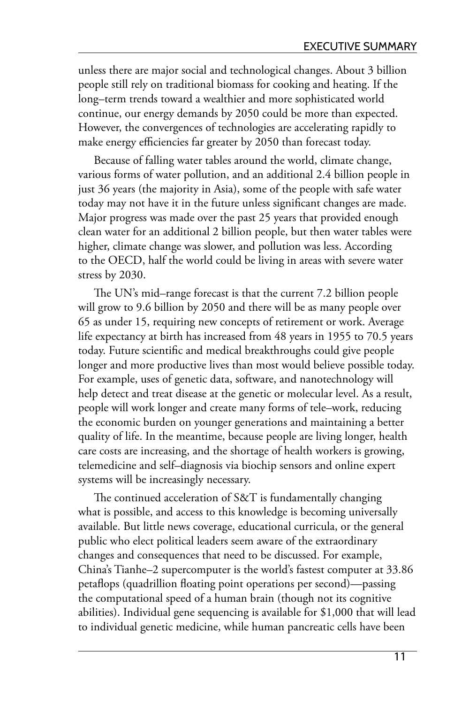unless there are major social and technological changes. About 3 billion people still rely on traditional biomass for cooking and heating. If the long–term trends toward a wealthier and more sophisticated world continue, our energy demands by 2050 could be more than expected. However, the convergences of technologies are accelerating rapidly to make energy efficiencies far greater by 2050 than forecast today.

Because of falling water tables around the world, climate change, various forms of water pollution, and an additional 2.4 billion people in just 36 years (the majority in Asia), some of the people with safe water today may not have it in the future unless significant changes are made. Major progress was made over the past 25 years that provided enough clean water for an additional 2 billion people, but then water tables were higher, climate change was slower, and pollution was less. According to the OECD, half the world could be living in areas with severe water stress by 2030.

The UN's mid–range forecast is that the current 7.2 billion people will grow to 9.6 billion by 2050 and there will be as many people over 65 as under 15, requiring new concepts of retirement or work. Average life expectancy at birth has increased from 48 years in 1955 to 70.5 years today. Future scientific and medical breakthroughs could give people longer and more productive lives than most would believe possible today. For example, uses of genetic data, software, and nanotechnology will help detect and treat disease at the genetic or molecular level. As a result, people will work longer and create many forms of tele–work, reducing the economic burden on younger generations and maintaining a better quality of life. In the meantime, because people are living longer, health care costs are increasing, and the shortage of health workers is growing, telemedicine and self–diagnosis via biochip sensors and online expert systems will be increasingly necessary.

The continued acceleration of S&T is fundamentally changing what is possible, and access to this knowledge is becoming universally available. But little news coverage, educational curricula, or the general public who elect political leaders seem aware of the extraordinary changes and consequences that need to be discussed. For example, China's Tianhe–2 supercomputer is the world's fastest computer at 33.86 petaflops (quadrillion floating point operations per second)—passing the computational speed of a human brain (though not its cognitive abilities). Individual gene sequencing is available for \$1,000 that will lead to individual genetic medicine, while human pancreatic cells have been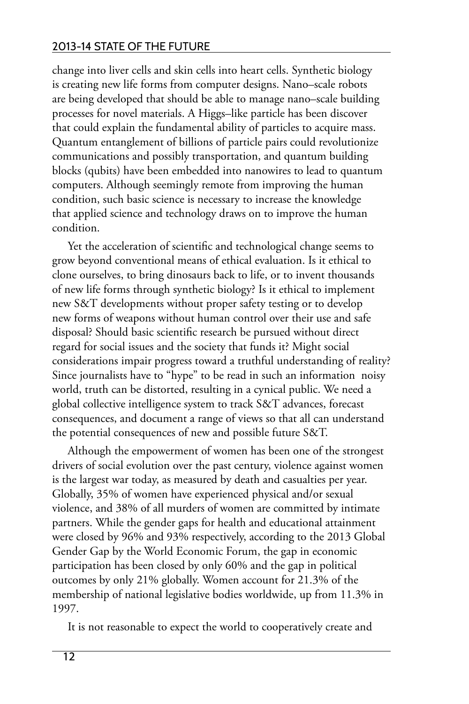change into liver cells and skin cells into heart cells. Synthetic biology is creating new life forms from computer designs. Nano–scale robots are being developed that should be able to manage nano–scale building processes for novel materials. A Higgs–like particle has been discover that could explain the fundamental ability of particles to acquire mass. Quantum entanglement of billions of particle pairs could revolutionize communications and possibly transportation, and quantum building blocks (qubits) have been embedded into nanowires to lead to quantum computers. Although seemingly remote from improving the human condition, such basic science is necessary to increase the knowledge that applied science and technology draws on to improve the human condition.

Yet the acceleration of scientific and technological change seems to grow beyond conventional means of ethical evaluation. Is it ethical to clone ourselves, to bring dinosaurs back to life, or to invent thousands of new life forms through synthetic biology? Is it ethical to implement new S&T developments without proper safety testing or to develop new forms of weapons without human control over their use and safe disposal? Should basic scientific research be pursued without direct regard for social issues and the society that funds it? Might social considerations impair progress toward a truthful understanding of reality? Since journalists have to "hype" to be read in such an information noisy world, truth can be distorted, resulting in a cynical public. We need a global collective intelligence system to track S&T advances, forecast consequences, and document a range of views so that all can understand the potential consequences of new and possible future S&T.

Although the empowerment of women has been one of the strongest drivers of social evolution over the past century, violence against women is the largest war today, as measured by death and casualties per year. Globally, 35% of women have experienced physical and/or sexual violence, and 38% of all murders of women are committed by intimate partners. While the gender gaps for health and educational attainment were closed by 96% and 93% respectively, according to the 2013 Global Gender Gap by the World Economic Forum, the gap in economic participation has been closed by only 60% and the gap in political outcomes by only 21% globally. Women account for 21.3% of the membership of national legislative bodies worldwide, up from 11.3% in 1997.

It is not reasonable to expect the world to cooperatively create and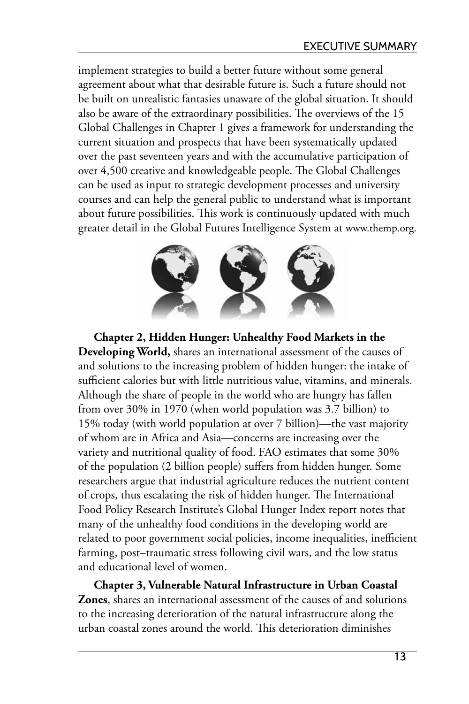implement strategies to build a better future without some general agreement about what that desirable future is. Such a future should not be built on unrealistic fantasies unaware of the global situation. It should also be aware of the extraordinary possibilities. The overviews of the 15 Global Challenges in Chapter 1 gives a framework for understanding the current situation and prospects that have been systematically updated over the past seventeen years and with the accumulative participation of over 4,500 creative and knowledgeable people. The Global Challenges can be used as input to strategic development processes and university courses and can help the general public to understand what is important about future possibilities. This work is continuously updated with much greater detail in the Global Futures Intelligence System at www.themp.org.



**Chapter 2, Hidden Hunger: Unhealthy Food Markets in the Developing World,** shares an international assessment of the causes of and solutions to the increasing problem of hidden hunger: the intake of sufficient calories but with little nutritious value, vitamins, and minerals. Although the share of people in the world who are hungry has fallen from over 30% in 1970 (when world population was 3.7 billion) to 15% today (with world population at over 7 billion)—the vast majority of whom are in Africa and Asia—concerns are increasing over the variety and nutritional quality of food. FAO estimates that some 30% of the population (2 billion people) suffers from hidden hunger. Some researchers argue that industrial agriculture reduces the nutrient content of crops, thus escalating the risk of hidden hunger. The International Food Policy Research Institute's Global Hunger Index report notes that many of the unhealthy food conditions in the developing world are related to poor government social policies, income inequalities, inefficient farming, post–traumatic stress following civil wars, and the low status and educational level of women.

**Chapter 3, Vulnerable Natural Infrastructure in Urban Coastal Zones**, shares an international assessment of the causes of and solutions to the increasing deterioration of the natural infrastructure along the urban coastal zones around the world. This deterioration diminishes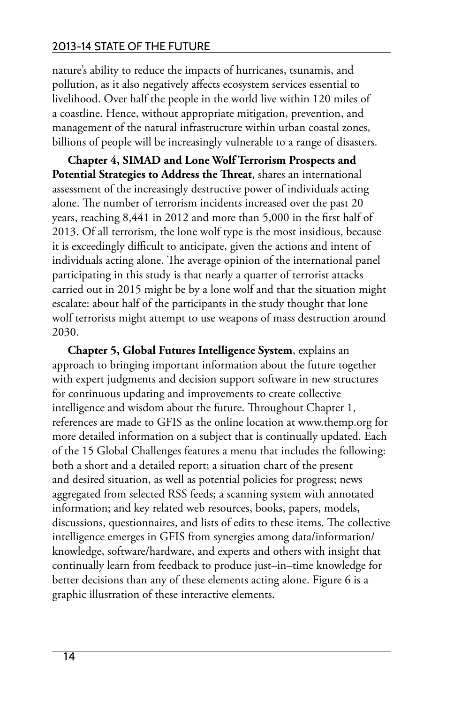nature's ability to reduce the impacts of hurricanes, tsunamis, and pollution, as it also negatively affects ecosystem services essential to livelihood. Over half the people in the world live within 120 miles of a coastline. Hence, without appropriate mitigation, prevention, and management of the natural infrastructure within urban coastal zones, billions of people will be increasingly vulnerable to a range of disasters.

**Chapter 4, SIMAD and Lone Wolf Terrorism Prospects and Potential Strategies to Address the Threat**, shares an international assessment of the increasingly destructive power of individuals acting alone. The number of terrorism incidents increased over the past 20 years, reaching 8,441 in 2012 and more than 5,000 in the first half of 2013. Of all terrorism, the lone wolf type is the most insidious, because it is exceedingly difficult to anticipate, given the actions and intent of individuals acting alone. The average opinion of the international panel participating in this study is that nearly a quarter of terrorist attacks carried out in 2015 might be by a lone wolf and that the situation might escalate: about half of the participants in the study thought that lone wolf terrorists might attempt to use weapons of mass destruction around 2030.

**Chapter 5, Global Futures Intelligence System**, explains an approach to bringing important information about the future together with expert judgments and decision support software in new structures for continuous updating and improvements to create collective intelligence and wisdom about the future. Throughout Chapter 1, references are made to GFIS as the online location at www.themp.org for more detailed information on a subject that is continually updated. Each of the 15 Global Challenges features a menu that includes the following: both a short and a detailed report; a situation chart of the present and desired situation, as well as potential policies for progress; news aggregated from selected RSS feeds; a scanning system with annotated information; and key related web resources, books, papers, models, discussions, questionnaires, and lists of edits to these items. The collective intelligence emerges in GFIS from synergies among data/information/ knowledge, software/hardware, and experts and others with insight that continually learn from feedback to produce just–in–time knowledge for better decisions than any of these elements acting alone. Figure 6 is a graphic illustration of these interactive elements.